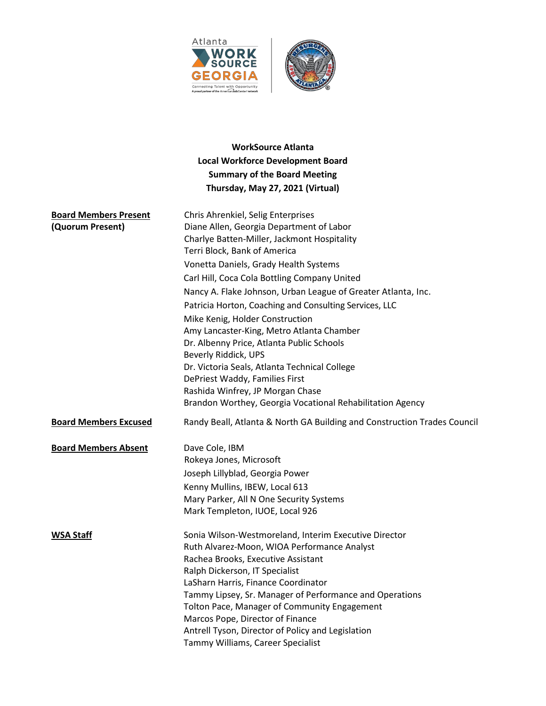



# **WorkSource Atlanta Local Workforce Development Board Summary of the Board Meeting Thursday, May 27, 2021 (Virtual)**

| <b>Board Members Present</b><br>(Quorum Present) | Chris Ahrenkiel, Selig Enterprises<br>Diane Allen, Georgia Department of Labor<br>Charlye Batten-Miller, Jackmont Hospitality<br>Terri Block, Bank of America<br>Vonetta Daniels, Grady Health Systems<br>Carl Hill, Coca Cola Bottling Company United<br>Nancy A. Flake Johnson, Urban League of Greater Atlanta, Inc.<br>Patricia Horton, Coaching and Consulting Services, LLC<br>Mike Kenig, Holder Construction<br>Amy Lancaster-King, Metro Atlanta Chamber<br>Dr. Albenny Price, Atlanta Public Schools<br>Beverly Riddick, UPS<br>Dr. Victoria Seals, Atlanta Technical College<br>DePriest Waddy, Families First<br>Rashida Winfrey, JP Morgan Chase<br>Brandon Worthey, Georgia Vocational Rehabilitation Agency |
|--------------------------------------------------|----------------------------------------------------------------------------------------------------------------------------------------------------------------------------------------------------------------------------------------------------------------------------------------------------------------------------------------------------------------------------------------------------------------------------------------------------------------------------------------------------------------------------------------------------------------------------------------------------------------------------------------------------------------------------------------------------------------------------|
| <b>Board Members Excused</b>                     | Randy Beall, Atlanta & North GA Building and Construction Trades Council                                                                                                                                                                                                                                                                                                                                                                                                                                                                                                                                                                                                                                                   |
| <b>Board Members Absent</b>                      | Dave Cole, IBM<br>Rokeya Jones, Microsoft<br>Joseph Lillyblad, Georgia Power<br>Kenny Mullins, IBEW, Local 613<br>Mary Parker, All N One Security Systems<br>Mark Templeton, IUOE, Local 926                                                                                                                                                                                                                                                                                                                                                                                                                                                                                                                               |
| <b>WSA Staff</b>                                 | Sonia Wilson-Westmoreland, Interim Executive Director<br>Ruth Alvarez-Moon, WIOA Performance Analyst<br>Rachea Brooks, Executive Assistant<br>Ralph Dickerson, IT Specialist<br>LaSharn Harris, Finance Coordinator<br>Tammy Lipsey, Sr. Manager of Performance and Operations<br>Tolton Pace, Manager of Community Engagement<br>Marcos Pope, Director of Finance<br>Antrell Tyson, Director of Policy and Legislation<br>Tammy Williams, Career Specialist                                                                                                                                                                                                                                                               |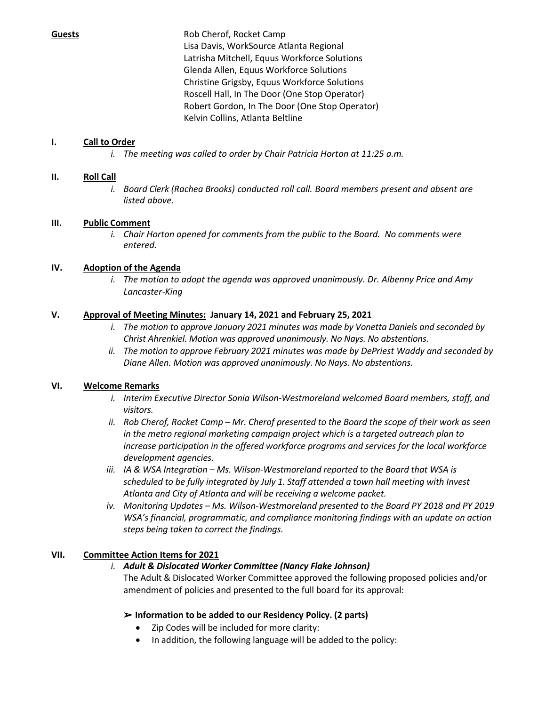**Guests** Rob Cherof, Rocket Camp Lisa Davis, WorkSource Atlanta Regional Latrisha Mitchell, Equus Workforce Solutions Glenda Allen, Equus Workforce Solutions Christine Grigsby, Equus Workforce Solutions Roscell Hall, In The Door (One Stop Operator) Robert Gordon, In The Door (One Stop Operator) Kelvin Collins, Atlanta Beltline

# **I. Call to Order**

*i. The meeting was called to order by Chair Patricia Horton at 11:25 a.m.*

## **II. Roll Call**

*i. Board Clerk (Rachea Brooks) conducted roll call. Board members present and absent are listed above.*

# **III. Public Comment**

*i. Chair Horton opened for comments from the public to the Board. No comments were entered.*

# **IV. Adoption of the Agenda**

*i. The motion to adopt the agenda was approved unanimously. Dr. Albenny Price and Amy Lancaster-King*

## **V. Approval of Meeting Minutes: January 14, 2021 and February 25, 2021**

- *i. The motion to approve January 2021 minutes was made by Vonetta Daniels and seconded by Christ Ahrenkiel. Motion was approved unanimously. No Nays. No abstentions.*
- *ii. The motion to approve February 2021 minutes was made by DePriest Waddy and seconded by Diane Allen. Motion was approved unanimously. No Nays. No abstentions.*

## **VI. Welcome Remarks**

- *i. Interim Executive Director Sonia Wilson-Westmoreland welcomed Board members, staff, and visitors.*
- *ii. Rob Cherof, Rocket Camp – Mr. Cherof presented to the Board the scope of their work as seen in the metro regional marketing campaign project which is a targeted outreach plan to increase participation in the offered workforce programs and services for the local workforce development agencies.*
- *iii. IA & WSA Integration – Ms. Wilson-Westmoreland reported to the Board that WSA is scheduled to be fully integrated by July 1. Staff attended a town hall meeting with Invest Atlanta and City of Atlanta and will be receiving a welcome packet.*
- *iv. Monitoring Updates – Ms. Wilson-Westmoreland presented to the Board PY 2018 and PY 2019 WSA's financial, programmatic, and compliance monitoring findings with an update on action steps being taken to correct the findings.*

# **VII. Committee Action Items for 2021**

## *i. Adult & Dislocated Worker Committee (Nancy Flake Johnson)*

The Adult & Dislocated Worker Committee approved the following proposed policies and/or amendment of policies and presented to the full board for its approval:

## ➢ **Information to be added to our Residency Policy. (2 parts)**

- Zip Codes will be included for more clarity:
- In addition, the following language will be added to the policy: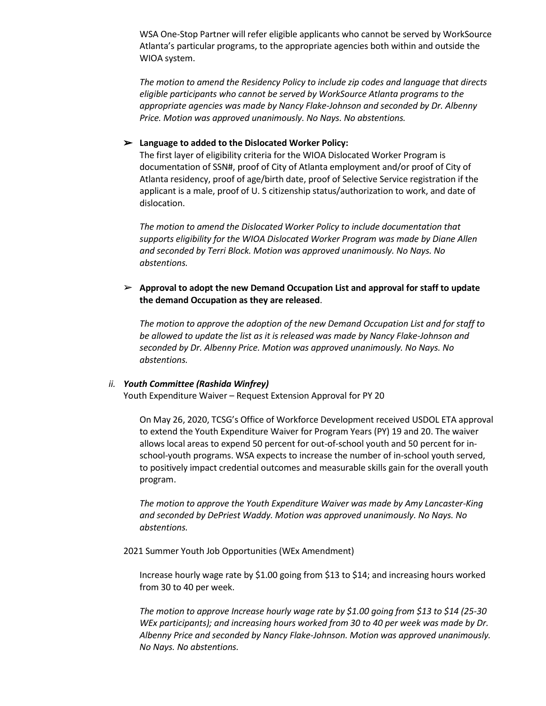WSA One-Stop Partner will refer eligible applicants who cannot be served by WorkSource Atlanta's particular programs, to the appropriate agencies both within and outside the WIOA system.

*The motion to amend the Residency Policy to include zip codes and language that directs eligible participants who cannot be served by WorkSource Atlanta programs to the appropriate agencies was made by Nancy Flake-Johnson and seconded by Dr. Albenny Price. Motion was approved unanimously. No Nays. No abstentions.*

#### ➢ **Language to added to the Dislocated Worker Policy:**

The first layer of eligibility criteria for the WIOA Dislocated Worker Program is documentation of SSN#, proof of City of Atlanta employment and/or proof of City of Atlanta residency, proof of age/birth date, proof of Selective Service registration if the applicant is a male, proof of U. S citizenship status/authorization to work, and date of dislocation.

*The motion to amend the Dislocated Worker Policy to include documentation that supports eligibility for the WIOA Dislocated Worker Program was made by Diane Allen and seconded by Terri Block. Motion was approved unanimously. No Nays. No abstentions.*

#### ➢ **Approval to adopt the new Demand Occupation List and approval for staff to update the demand Occupation as they are released**.

*The motion to approve the adoption of the new Demand Occupation List and for staff to be allowed to update the list as it is released was made by Nancy Flake-Johnson and seconded by Dr. Albenny Price. Motion was approved unanimously. No Nays. No abstentions.*

#### *ii. Youth Committee (Rashida Winfrey)*

Youth Expenditure Waiver – Request Extension Approval for PY 20

On May 26, 2020, TCSG's Office of Workforce Development received USDOL ETA approval to extend the Youth Expenditure Waiver for Program Years (PY) 19 and 20. The waiver allows local areas to expend 50 percent for out-of-school youth and 50 percent for inschool-youth programs. WSA expects to increase the number of in-school youth served, to positively impact credential outcomes and measurable skills gain for the overall youth program.

*The motion to approve the Youth Expenditure Waiver was made by Amy Lancaster-King and seconded by DePriest Waddy. Motion was approved unanimously. No Nays. No abstentions.*

2021 Summer Youth Job Opportunities (WEx Amendment)

Increase hourly wage rate by \$1.00 going from \$13 to \$14; and increasing hours worked from 30 to 40 per week.

*The motion to approve Increase hourly wage rate by \$1.00 going from \$13 to \$14 (25-30 WEx participants); and increasing hours worked from 30 to 40 per week was made by Dr. Albenny Price and seconded by Nancy Flake-Johnson. Motion was approved unanimously. No Nays. No abstentions.*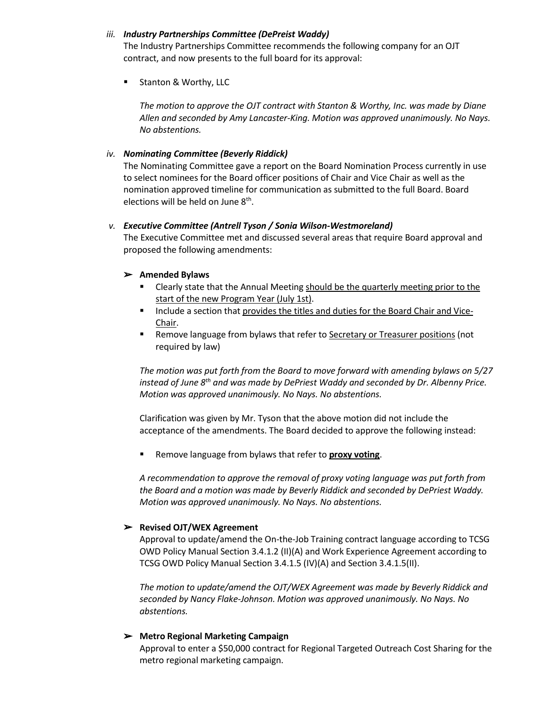## *iii. Industry Partnerships Committee (DePreist Waddy)*

The Industry Partnerships Committee recommends the following company for an OJT contract, and now presents to the full board for its approval:

■ Stanton & Worthy, LLC

*The motion to approve the OJT contract with Stanton & Worthy, Inc. was made by Diane Allen and seconded by Amy Lancaster-King. Motion was approved unanimously. No Nays. No abstentions.*

#### *iv. Nominating Committee (Beverly Riddick)*

The Nominating Committee gave a report on the Board Nomination Process currently in use to select nominees for the Board officer positions of Chair and Vice Chair as well as the nomination approved timeline for communication as submitted to the full Board. Board elections will be held on June 8<sup>th</sup>.

#### *v. Executive Committee (Antrell Tyson / Sonia Wilson-Westmoreland)*

The Executive Committee met and discussed several areas that require Board approval and proposed the following amendments:

#### ➢ **Amended Bylaws**

- **Example 2** Clearly state that the Annual Meeting should be the quarterly meeting prior to the start of the new Program Year (July 1st).
- Include a section that provides the titles and duties for the Board Chair and Vice-Chair.
- **EXE** Remove language from bylaws that refer to Secretary or Treasurer positions (not required by law)

*The motion was put forth from the Board to move forward with amending bylaws on 5/27 instead of June 8th and was made by DePriest Waddy and seconded by Dr. Albenny Price. Motion was approved unanimously. No Nays. No abstentions.*

Clarification was given by Mr. Tyson that the above motion did not include the acceptance of the amendments. The Board decided to approve the following instead:

Remove language from bylaws that refer to **proxy voting**.

*A recommendation to approve the removal of proxy voting language was put forth from the Board and a motion was made by Beverly Riddick and seconded by DePriest Waddy. Motion was approved unanimously. No Nays. No abstentions.*

## ➢ **Revised OJT/WEX Agreement**

Approval to update/amend the On-the-Job Training contract language according to TCSG OWD Policy Manual Section 3.4.1.2 (II)(A) and Work Experience Agreement according to TCSG OWD Policy Manual Section 3.4.1.5 (IV)(A) and Section 3.4.1.5(II).

*The motion to update/amend the OJT/WEX Agreement was made by Beverly Riddick and seconded by Nancy Flake-Johnson. Motion was approved unanimously. No Nays. No abstentions.*

## ➢ **Metro Regional Marketing Campaign**

Approval to enter a \$50,000 contract for Regional Targeted Outreach Cost Sharing for the metro regional marketing campaign.